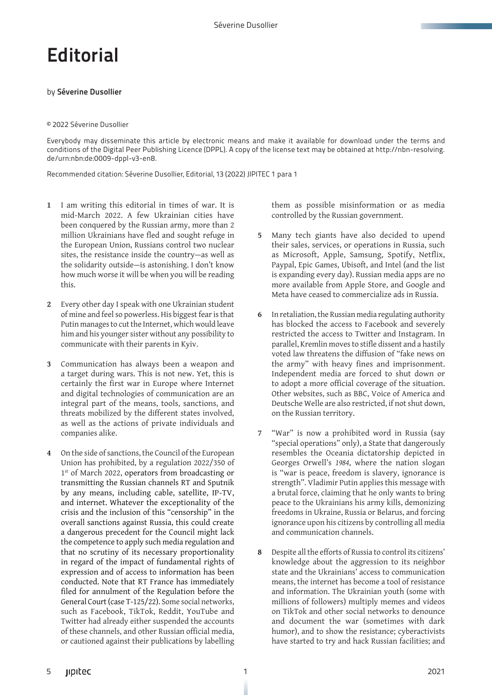## **Editorial**

## by Séverine Dusollier

## © 2022 Séverine Dusollier

Everybody may disseminate this article by electronic means and make it available for download under the terms and conditions of the Digital Peer Publishing Licence (DPPL). A copy of the license text may be obtained at http://nbn-resolving. de/urn:nbn:de:0009-dppl-v3-en8.

Recommended citation: Séverine Dusollier, Editorial, 13 (2022) JIPITEC 1 para 1

- **1** I am writing this editorial in times of war. It is mid-March 2022. A few Ukrainian cities have been conquered by the Russian army, more than 2 million Ukrainians have fled and sought refuge in the European Union, Russians control two nuclear sites, the resistance inside the country—as well as the solidarity outside—is astonishing. I don't know how much worse it will be when you will be reading this.
- **2** Every other day I speak with one Ukrainian student of mine and feel so powerless. His biggest fear is that Putin manages to cut the Internet, which would leave him and his younger sister without any possibility to communicate with their parents in Kyiv.
- **3** Communication has always been a weapon and a target during wars. This is not new. Yet, this is certainly the first war in Europe where Internet and digital technologies of communication are an integral part of the means, tools, sanctions, and threats mobilized by the different states involved, as well as the actions of private individuals and companies alike.
- **4** On the side of sanctions, the Council of the European Union has prohibited, by a regulation 2022/350 of 1<sup>st</sup> of March 2022, operators from broadcasting or transmitting the Russian channels RT and Sputnik by any means, including cable, satellite, IP-TV, and internet. Whatever the exceptionality of the crisis and the inclusion of this "censorship" in the overall sanctions against Russia, this could create a dangerous precedent for the Council might lack the competence to apply such media regulation and that no scrutiny of its necessary proportionality in regard of the impact of fundamental rights of expression and of access to information has been conducted. Note that RT France has immediately filed for annulment of the Regulation before the General Court (case T-125/22). Some social networks, such as Facebook, TikTok, Reddit, YouTube and Twitter had already either suspended the accounts of these channels, and other Russian official media, or cautioned against their publications by labelling

them as possible misinformation or as media controlled by the Russian government.

- **5** Many tech giants have also decided to upend their sales, services, or operations in Russia, such as Microsoft, Apple, Samsung, Spotify, Netflix, Paypal, Epic Games, Ubisoft, and Intel (and the list is expanding every day). Russian media apps are no more available from Apple Store, and Google and Meta have ceased to commercialize ads in Russia.
- **6** In retaliation, the Russian media regulating authority has blocked the access to Facebook and severely restricted the access to Twitter and Instagram. In parallel, Kremlin moves to stifle dissent and a hastily voted law threatens the diffusion of "fake news on the army" with heavy fines and imprisonment. Independent media are forced to shut down or to adopt a more official coverage of the situation. Other websites, such as BBC, Voice of America and Deutsche Welle are also restricted, if not shut down, on the Russian territory.
- **7** "War" is now a prohibited word in Russia (say "special operations" only), a State that dangerously resembles the Oceania dictatorship depicted in Georges Orwell's *1984*, where the nation slogan is "war is peace, freedom is slavery, ignorance is strength". Vladimir Putin applies this message with a brutal force, claiming that he only wants to bring peace to the Ukrainians his army kills, demonizing freedoms in Ukraine, Russia or Belarus, and forcing ignorance upon his citizens by controlling all media and communication channels.
- **8** Despite all the efforts of Russia to control its citizens' knowledge about the aggression to its neighbor state and the Ukrainians' access to communication means, the internet has become a tool of resistance and information. The Ukrainian youth (some with millions of followers) multiply memes and videos on TikTok and other social networks to denounce and document the war (sometimes with dark humor), and to show the resistance; cyberactivists have started to try and hack Russian facilities; and